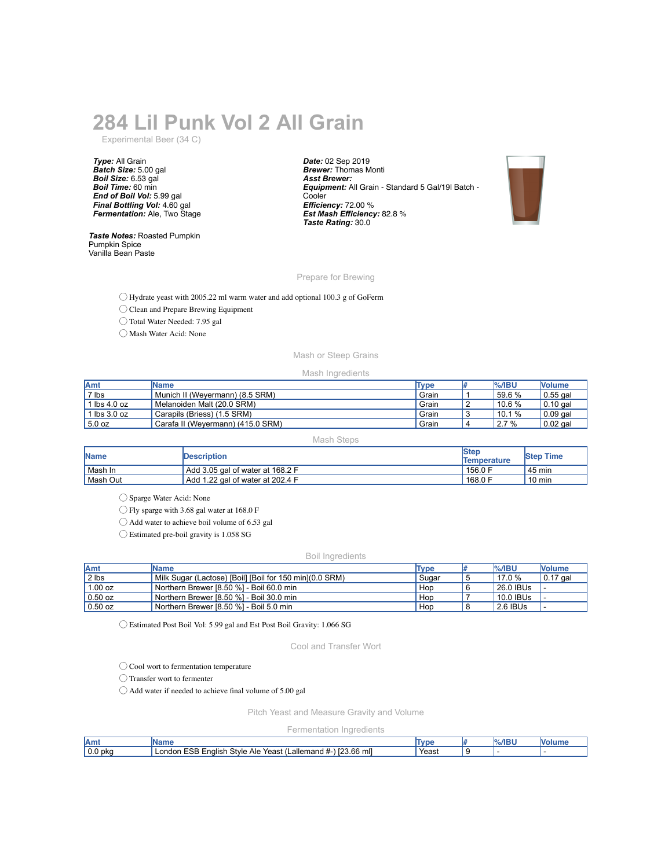## **284 Lil Punk Vol 2 All Grain**

Experimental Beer (34 C)

*Type:* All Grain *Batch Size:* 5.00 gal *Boil Size:* 6.53 gal *Boil Time:* 60 min *End of Boil Vol:* 5.99 gal *Final Bottling Vol:* 4.60 gal *Fermentation:* Ale, Two Stage

*Taste Notes:* Roasted Pumpkin Pumpkin Spice Vanilla Bean Paste

*Date:* 02 Sep 2019 *Brewer:* Thomas Monti *Asst Brewer: Equipment:* All Grain - Standard 5 Gal/19l Batch - **Cooler** *Efficiency:* 72.00 % *Est Mash Efficiency:* 82.8 % *Taste Rating:* 30.0



Prepare for Brewing

◯ Hydrate yeast with 2005.22 ml warm water and add optional 100.3 g of GoFerm

◯ Clean and Prepare Brewing Equipment

◯ Total Water Needed: 7.95 gal

◯ Mash Water Acid: None

## Mash or Steep Grains

Mash Ingredients

| Amt                            | <b>IName</b>                      | <b>Type</b> |   | $%$ /IBU  | <b>Nolume</b>    |
|--------------------------------|-----------------------------------|-------------|---|-----------|------------------|
| 7 lbs                          | Munich II (Wevermann) (8.5 SRM)   | Grain       |   | $"59.6\%$ | $\vert$ 0.55 gal |
| 1 $\text{lbs } 4.0 \text{ oz}$ | Melanoiden Malt (20.0 SRM)        | Grain       | ∼ | $10.6\%$  | $\vert$ 0.10 gal |
| 1 lbs $3.0$ oz                 | Carapils (Briess) (1.5 SRM)       | Grain       |   | 10.1%     | $\vert$ 0.09 gal |
| 5.0 oz                         | Carafa II (Weyermann) (415.0 SRM) | Grain       |   | 2.7%      | $0.02$ gal       |

Mash Steps

| <b>Name</b> | <b>Description</b>               | <b>Step</b><br>Temperature | <b>Step Time</b> |
|-------------|----------------------------------|----------------------------|------------------|
| Mash In     | Add 3.05 gal of water at 168.2 F | 156.0 F                    | . 45 min         |
| Mash Out    | Add 1.22 gal of water at 202.4 F | 168.0 F                    | 10 min           |

◯ Sparge Water Acid: None

◯ Fly sparge with 3.68 gal water at 168.0 F

◯ Add water to achieve boil volume of 6.53 gal

◯ Estimated pre-boil gravity is 1.058 SG

## Boil Ingredients

| Amt       | <b>IName</b>                                             | Type  | <b>%/IBU</b> | <b>Nolume</b> |
|-----------|----------------------------------------------------------|-------|--------------|---------------|
| $2$ lbs   | Milk Sugar (Lactose) [Boil] [Boil for 150 min] (0.0 SRM) | Sugar | $'$ 17.0 $%$ | $ 0.17$ gal   |
| 1.00 oz   | Northern Brewer [8.50 %] - Boil 60.0 min                 | Hop   | l 26.0 IBUs  |               |
| $0.50$ oz | Northern Brewer [8.50 %] - Boil 30.0 min                 | Hop   | 10.0 IBUs    |               |
| $0.50$ oz | Northern Brewer [8.50 %] - Boil 5.0 min                  | Hop   | 2.6 IBUs     |               |

◯ Estimated Post Boil Vol: 5.99 gal and Est Post Boil Gravity: 1.066 SG

Cool and Transfer Wort

◯ Cool wort to fermentation temperature

◯ Transfer wort to fermenter

◯ Add water if needed to achieve final volume of 5.00 gal

Pitch Yeast and Measure Gravity and Volume

Fermentation Ingredients

| <b>JAm</b>     | м                                                                                                                     | , , , | лвι<br>וח/ |  |
|----------------|-----------------------------------------------------------------------------------------------------------------------|-------|------------|--|
| l 0.0<br>' pkc | <br><b>ESB</b><br>$\cdots$<br>23.66<br>$\sim$<br>Style<br>mll<br>∟allemand #-`<br>∟nalish<br>Yeast<br>∟ondon '<br>Ale | Yeast |            |  |